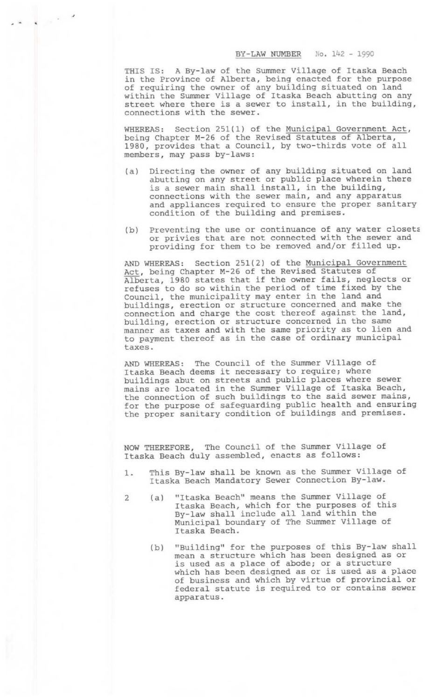## BY—LAW NUMBER No. 142 — 1990

THIS IS: A By-law of the Summer Village of Itaska Beach in the Province of Alberta, being enacted for the purpose In the frovince of Alberta, being enacted for the parpo<br>of requiring the owner of any building situated on land within the Summer Village of Itaska Beach abutting on any street where there is a sewer to install, in the building, connections with the sewer. BER No. 142 - 1990<br>Village of Itaska Beach<br>g enacted for the purpos<br>ilding situated on land<br>ska Beach abutting on an<br>install, in the buildin<br>Municipal Government Act

 $\mathcal{A}^{\mathcal{A}}$  ,  $\mathcal{A}$ 

WHEREAS: Section 251(1) of the Municipal Government Act, being Chapter M—26 of the Revised Statutes of Alberta, 1980, provides that a Council, by two—thirds vote of all members, may pass by-laws:

- (a) Directing the owner of any building situated on land abutting on any street or public place wherein there is a sewer main shall install, in the building, connections with the sewer main, and any apparatus and appliances required to ensure the proper sanitary condition of the building and premises.
- (b) Preventing the use or continuance of any water closets or privies that are not connected with the sewer and providing for them to be removed and/or filled up.

AND WHEREAS: Section 251(2) of the Municipal Government Act, being Chapter M—26 of the Revised Statutes of Alberta, 1980 states that if the owner fails, neglects or refuses to do so within the period of time fixed by the Council, the municipality may enter in the land and buildings, erection or structure concerned and make the connection and charge the cost thereof against the land, building, erection or structure concerned in the same manner as taxes and with the same priority as to lien and to payment thereof as in the case of ordinary municipal taxes.

AND WHEREAS: The Council of the Summer Village of Itaska Beach deems it necessary to require; where buildings abut on streets and public places where sewer mains are located in the Summer Village of Itaska Beach, the connection of such buildings to the said sewer mains, for the purpose of safequarding public health and ensuring the proper sanitary condition of buildings and premises.

NOW THEREFORE, The Council of the Summer Village of Itaska Beach duly assembled, enacts as follows:

- 1. This By-law shall be known as the Summer Village of Itaska Beach Mandatory Sewer Connection By—law.
- 2 (a) "Itaska Beach" means the Summer Village of Itaska Beach, which for the purposes of this By—law shall include all land within the Municipal boundary of The Summer Village of Itaska Beach.
	- (b) "Building" for the purposes of this By—law shall mean a structure which has been designed as or is used as a place of abode; or a structure which has been designed as or is used as a place of business and which by virtue of provincial or federal statute is required to or contains sewer apparatus.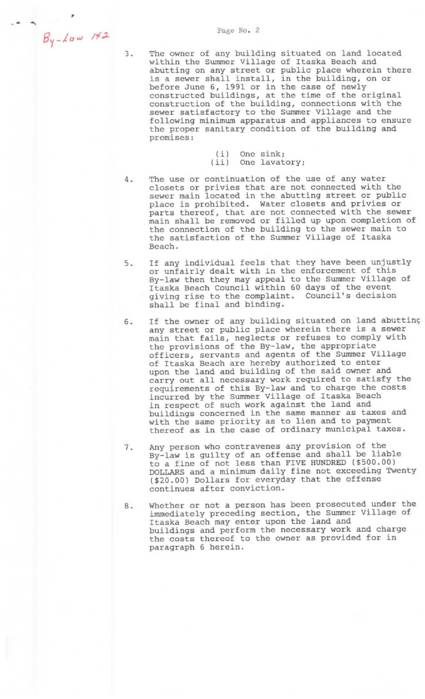- The owner of any building situated on land located within the Summer Village of Itaska Beach and within the bummer virings of fluska beach and<br>abutting on any street or public place wherein there is a sewer shall install, in the building, on or before June 6, 1991 or in the case of newly constructed buildings, at the time of the original construction of the building, connections with the sewer satisfactory to the Summer Village and the following minimum apparatus and appliances to ensure the proper sanitary condition of the building and premises:
	- (i) One sink; (ii) One lavatory;
- The use or continuation of the use of any water  $4.$ closets or privies that are not connected with the sewer main located in the abutting street or public place is prohibited. Water closets and privies or parts thereof, that are not connected with the sewer main shall be removed or filled up upon completion of main shart be removed of fifted up upon compresson the satisfaction of the Summer Village of Itaska Beach.
- If any individual feels that they have been unjustly 5. or unfairly dealt with in the enforcement of this By—law then they may appeal to the Summer Village of Itaska Beach Council within 60 days of the event giving rise to the complaint. Council's decision shall be final and binding.
- If the owner of any building situated on land abuttine 6. any street or public place wherein there is a sewer main that fails, neglects or refuses to comply with the provisions of the By—law, the appropriate officers, servants and agents of the Summer Village of Itaska Beach are hereby authorized to enter upon the land and building of the said owner and carry out all necessary work required to satisfy the requirements of this By—law and to charge the costs incurred by the Summer Village of Itaska Beach in respect of such work against the land and buildings concerned in the same manner as taxes and with the same priority as to lien and to payment thereof as in the case of ordinary municipal taxes.
- Any person who contravenes any provision of the 7. By—law is guilty of an offense and shall be liable to a fine of not less than FIVE HUNDRED (\$500.00) DOLLARS and a minimum daily fine not exceeding Twenty (\$20.00) Dollars for everyday that the offense continues after conviction.
- Whether or not a person has been prosecuted under the 8. immediately preceding section, the Summer Village of Itaska Beach may enter upon the land and buildings and perform the necessary work and charge the costs thereof to the owner as provided for in paragraph 6 herein.

 $3.$